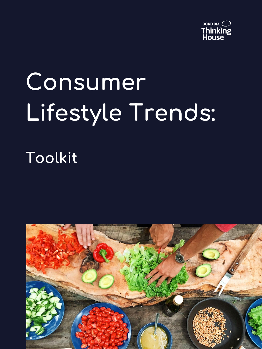

# **Consumer Lifestyle Trends:**

## **Toolkit**

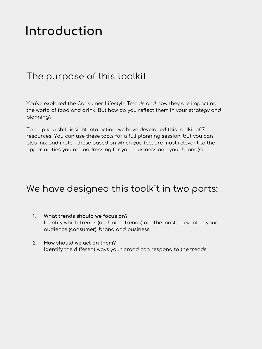### **Introduction**

#### The purpose of this toolkit

You've explored the Consumer Lifestyle Trends and how they are impacting the world of food and drink. But how do you reflect them in your strategy and planning?

To help you shift insight into action, we have developed this toolkit of 7 resources. You can use these tools for a full planning session, but you can also mix and match these based on which you feel are most relevant to the opportunities you are addressing for your business and your brand(s).

#### We have designed this toolkit in two parts:

- **1. What trends should we focus on?** Identify which trends (and microtrends) are the most relevant to your audience (consumer), brand and business.
- **2. How should we act on them? Identify** the different ways your brand can respond to the trends.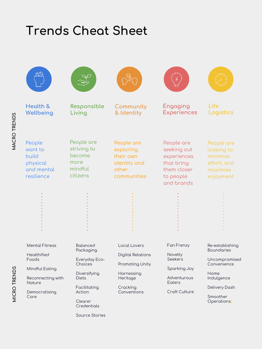### **Trends Cheat Sheet**

| Health &<br>Wellbeing                                                                                                                 | Responsible<br>Living                                                                                                                        | Community<br>& Identity                                                                                          | Engaging<br><b>Experiences</b>                                                                           | Life<br>Logistics                                                                                                                     |
|---------------------------------------------------------------------------------------------------------------------------------------|----------------------------------------------------------------------------------------------------------------------------------------------|------------------------------------------------------------------------------------------------------------------|----------------------------------------------------------------------------------------------------------|---------------------------------------------------------------------------------------------------------------------------------------|
| People<br>want to<br>build<br>physical<br>and mental<br>resilience                                                                    | People are<br>striving to<br>become<br>more<br>mindful<br>citizens                                                                           | People are<br>exploring<br>their own<br>identity and<br>other<br>communities                                     | People are<br>seeking out<br>experiences<br>that bring<br>them closer<br>to people<br>and brands         | People are<br>looking to<br>minimise<br>effort, and<br>maximise<br>enjoyment                                                          |
|                                                                                                                                       |                                                                                                                                              |                                                                                                                  |                                                                                                          |                                                                                                                                       |
| <b>Mental Fitness</b><br><b>Healthified</b><br>Foods<br>Mindful Eating<br>Reconnecting with<br><b>Noture</b><br>Democratising<br>Care | <b>Balanced</b><br>Packaging<br>Everyday Eco-<br>Choices<br>Diversifying<br><b>Diets</b><br>Facilitating<br>Action<br>Clearer<br>Credentials | Local Lovers<br><b>Digital Relations</b><br>Promoting Unity<br>Harnessing<br>Heritage<br>Cracking<br>Conventions | Fan Frenzy<br>Novelty<br><b>Seekers</b><br>Sparking Joy<br>Adventurous<br>Eoters<br><b>Craft Culture</b> | Re-establishing<br><b>Boundaries</b><br>Uncompromised<br>Convenience<br>Home<br>Indulgence<br>Delivery Dash<br>Smoother<br>Operations |

Source Stories

**MACRO TRENDS**

MACRO TRENDS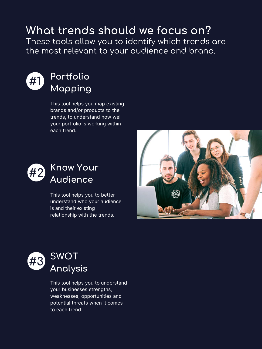### **What trends should we focus on?**

These tools allow you to identify which trends are the most relevant to your audience and brand.



#### **Portfolio Mapping**

This tool helps you map existing brands and/or products to the trends, to understand how well your portfolio is working within each trend.



This tool helps you to better understand who your audience is and their existing relationship with the trends.





This tool helps you to understand your businesses strengths, weaknesses, opportunities and potential threats when it comes to each trend.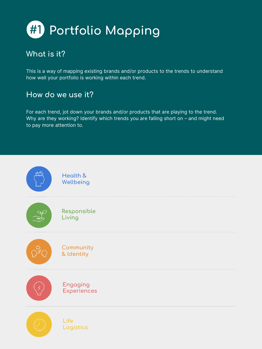

This is a way of mapping existing brands and/or products to the trends to understand how well your portfolio is working within each trend.

#### **How do we use it?**

For each trend, jot down your brands and/or products that are playing to the trend. Why are they working? Identify which trends you are falling short on – and might need to pay more attention to.

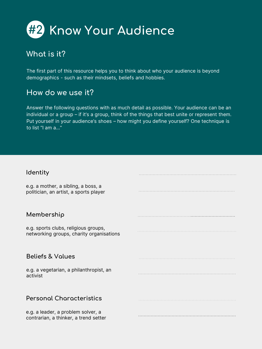

The first part of this resource helps you to think about who your audience is beyond demographics - such as their mindsets, beliefs and hobbies.

#### **How do we use it?**

Answer the following questions with as much detail as possible. Your audience can be an individual or a group – if it's a group, think of the things that best unite or represent them. Put yourself in your audience's shoes – how might you define yourself? One technique is to list "I am a..."

#### **Identity**

| e.g. a mother, a sibling, a boss, a<br>politician, an artist, a sports player    |  |
|----------------------------------------------------------------------------------|--|
| Membership                                                                       |  |
| e.g. sports clubs, religious groups,<br>networking groups, charity organisations |  |
|                                                                                  |  |
| <b>Beliefs &amp; Values</b>                                                      |  |
| e.g. a vegetarian, a philanthropist, an<br>activist                              |  |
|                                                                                  |  |
| <b>Personal Characteristics</b>                                                  |  |
| e.g. a leader, a problem solver, a<br>contrarian, a thinker, a trend setter      |  |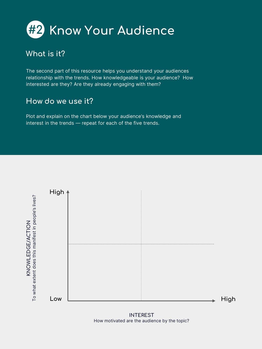

The second part of this resource helps you understand your audiences relationship with the trends. How knowledgeable is your audience? How interested are they? Are they already engaging with them?

#### **How do we use it?**

Plot and explain on the chart below your audience's knowledge and interest in the trends — repeat for each of the five trends.



**INTEREST** How motivated are the audience by the topic?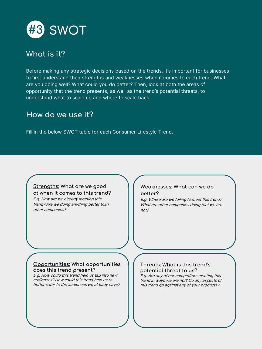

Before making any strategic decisions based on the trends, it's important for businesses to first understand their strengths and weaknesses when it comes to each trend. What are you doing well? What could you do better? Then, look at both the areas of opportunity that the trend presents, as well as the trend's potential threats, to understand what to scale up and where to scale back.

#### **How do we use it?**

Fill in the below SWOT table for each Consumer Lifestyle Trend.

#### **Strengths: What are we good at when it comes to this trend?**

E.g. How are we already meeting this trend? Are we doing anything better than other companies?

#### **Weaknesses: What can we do better?**

E.g. Where are we failing to meet this trend? What are other companies doing that we are  $n<sub>0</sub>$ 

#### **Opportunities: What opportunities does this trend present?**

E.g. How could this trend help us tap into new audiences? How could this trend help us to better cater to the audiences we already have?

#### **Threats: What is this trend's potential threat to us?**

E.g. Are any of our competitors meeting this trend in ways we are not? Do any aspects of this trend go against any of your products?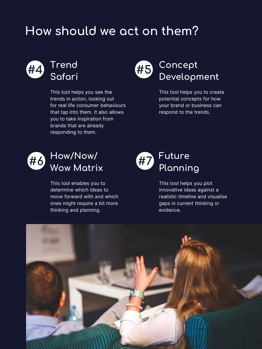### **How should we act on them?**



#### **Trend Safari**

This tool helps you see the trends in action, looking out for real life consumer behaviours that tap into them. It also allows you to take inspiration from brands that are already responding to them.



This tool helps you to create potential concepts for how your brand or business can respond to the trends.



This tool enables you to determine which ideas to move forward with and which ones might require a bit more thinking and planning.

#### **Future Planning #7**

This tool helps you plot innovative ideas against a realistic timeline and visualise gaps in current thinking or evidence.

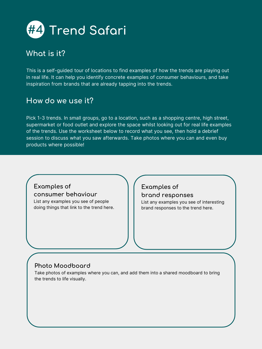

This is a self-guided tour of locations to find examples of how the trends are playing out in real life. It can help you identify concrete examples of consumer behaviours, and take inspiration from brands that are already tapping into the trends.

#### **How do we use it?**

Pick 1-3 trends. In small groups, go to a location, such as a shopping centre, high street, supermarket or food outlet and explore the space whilst looking out for real life examples of the trends. Use the worksheet below to record what you see, then hold a debrief session to discuss what you saw afterwards. Take photos where you can and even buy products where possible!

#### **Examples of consumer behaviour**

List any examples you see of people doing things that link to the trend here.

#### **Examples of brand responses**

List any examples you see of interesting brand responses to the trend here.

#### **Photo Moodboard**

Take photos of examples where you can, and add them into a shared moodboard to bring the trends to life visually.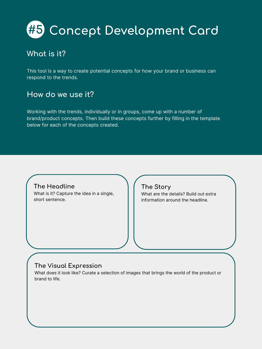## **#5 Concept Development Card**

#### **What is it?**

This tool is a way to create potential concepts for how your brand or business can respond to the trends.

#### **How do we use it?**

Working with the trends, individually or in groups, come up with a number of brand/product concepts. Then build these concepts further by filling in the template below for each of the concepts created.

#### **The Headline**

What is it? Capture the idea in a single, short sentence.

#### **The Story**

What are the details? Build out extra information around the headline.

#### **The Visual Expression**

What does it look like? Curate a selection of images that brings the world of the product or brand to life.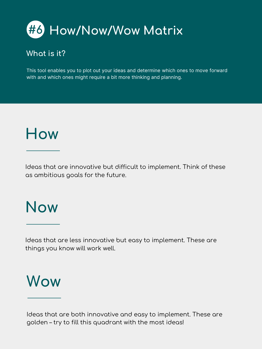

This tool enables you to plot out your ideas and determine which ones to move forward with and which ones might require a bit more thinking and planning.

## **How**

Ideas that are innovative but difficult to implement. Think of these as ambitious goals for the future.

## **Now**

Ideas that are less innovative but easy to implement. These are things you know will work well.

## **Wow**

Ideas that are both innovative and easy to implement. These are golden – try to fill this quadrant with the most ideas!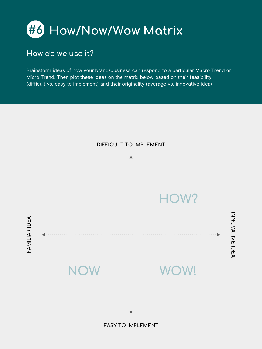

#### **How do we use it?**

Brainstorm ideas of how your brand/business can respond to a particular Macro Trend or Micro Trend. Then plot these ideas on the matrix below based on their feasibility (difficult vs. easy to implement) and their originality (average vs. innovative idea).



**EASY TO IMPLEMENT**